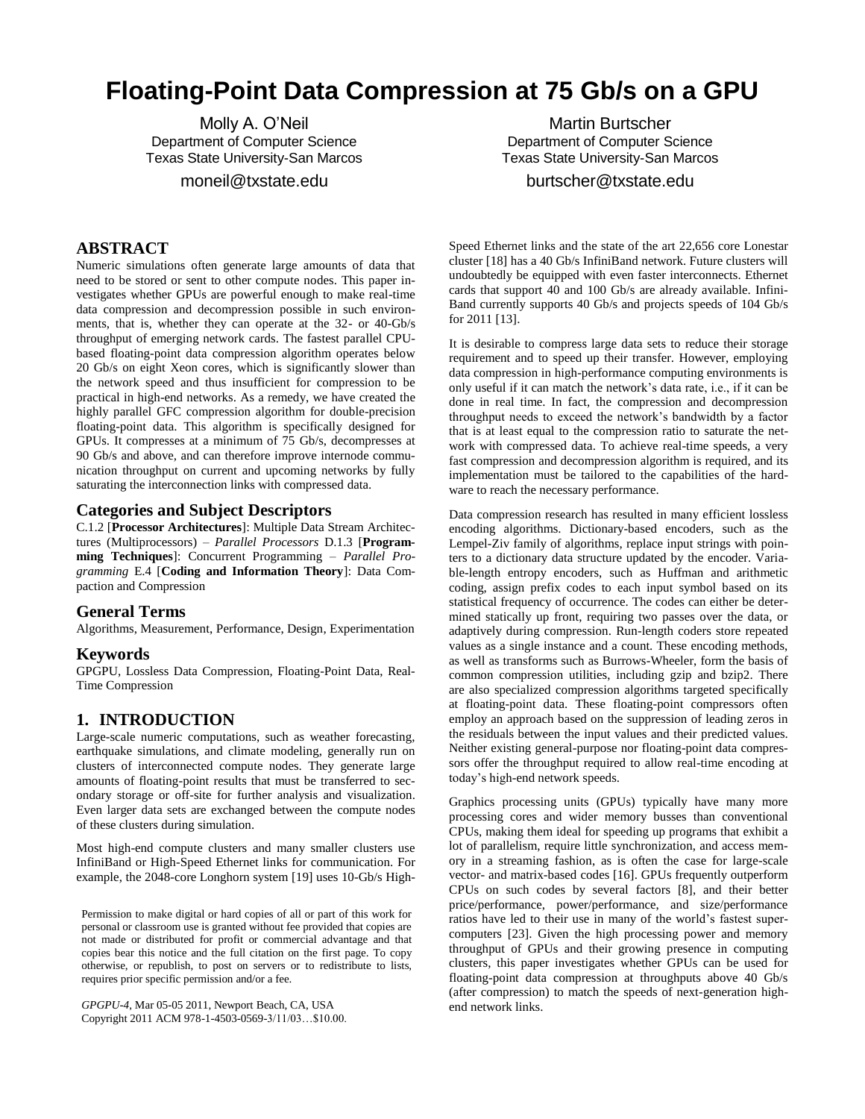# **Floating-Point Data Compression at 75 Gb/s on a GPU**

Molly A. O'Neil Department of Computer Science Texas State University-San Marcos

moneil@txstate.edu

## **ABSTRACT**

Numeric simulations often generate large amounts of data that need to be stored or sent to other compute nodes. This paper investigates whether GPUs are powerful enough to make real-time data compression and decompression possible in such environments, that is, whether they can operate at the 32- or 40-Gb/s throughput of emerging network cards. The fastest parallel CPUbased floating-point data compression algorithm operates below 20 Gb/s on eight Xeon cores, which is significantly slower than the network speed and thus insufficient for compression to be practical in high-end networks. As a remedy, we have created the highly parallel GFC compression algorithm for double-precision floating-point data. This algorithm is specifically designed for GPUs. It compresses at a minimum of 75 Gb/s, decompresses at 90 Gb/s and above, and can therefore improve internode communication throughput on current and upcoming networks by fully saturating the interconnection links with compressed data.

### **Categories and Subject Descriptors**

C.1.2 [**Processor Architectures**]: Multiple Data Stream Architectures (Multiprocessors) – *Parallel Processors* D.1.3 [**Programming Techniques**]: Concurrent Programming – *Parallel Programming* E.4 [**Coding and Information Theory**]: Data Compaction and Compression

### **General Terms**

Algorithms, Measurement, Performance, Design, Experimentation

#### **Keywords**

GPGPU, Lossless Data Compression, Floating-Point Data, Real-Time Compression

### **1. INTRODUCTION**

Large-scale numeric computations, such as weather forecasting, earthquake simulations, and climate modeling, generally run on clusters of interconnected compute nodes. They generate large amounts of floating-point results that must be transferred to secondary storage or off-site for further analysis and visualization. Even larger data sets are exchanged between the compute nodes of these clusters during simulation.

Most high-end compute clusters and many smaller clusters use InfiniBand or High-Speed Ethernet links for communication. For example, the 2048-core Longhorn syste[m \[19\]](#page-6-0) uses 10-Gb/s High-

Permission to make digital or hard copies of all or part of this work for personal or classroom use is granted without fee provided that copies are not made or distributed for profit or commercial advantage and that copies bear this notice and the full citation on the first page. To copy otherwise, or republish, to post on servers or to redistribute to lists, requires prior specific permission and/or a fee.

*GPGPU-4*, Mar 05-05 2011, Newport Beach, CA, USA Copyright 2011 ACM 978-1-4503-0569-3/11/03…\$10.00.

Martin Burtscher Department of Computer Science Texas State University-San Marcos

## burtscher@txstate.edu

Speed Ethernet links and the state of the art 22,656 core Lonestar cluster [\[18\]](#page-6-1) has a 40 Gb/s InfiniBand network. Future clusters will undoubtedly be equipped with even faster interconnects. Ethernet cards that support 40 and 100 Gb/s are already available. Infini-Band currently supports 40 Gb/s and projects speeds of 104 Gb/s for 2011 [\[13\].](#page-6-2)

It is desirable to compress large data sets to reduce their storage requirement and to speed up their transfer. However, employing data compression in high-performance computing environments is only useful if it can match the network's data rate, i.e., if it can be done in real time. In fact, the compression and decompression throughput needs to exceed the network's bandwidth by a factor that is at least equal to the compression ratio to saturate the network with compressed data. To achieve real-time speeds, a very fast compression and decompression algorithm is required, and its implementation must be tailored to the capabilities of the hardware to reach the necessary performance.

Data compression research has resulted in many efficient lossless encoding algorithms. Dictionary-based encoders, such as the Lempel-Ziv family of algorithms, replace input strings with pointers to a dictionary data structure updated by the encoder. Variable-length entropy encoders, such as Huffman and arithmetic coding, assign prefix codes to each input symbol based on its statistical frequency of occurrence. The codes can either be determined statically up front, requiring two passes over the data, or adaptively during compression. Run-length coders store repeated values as a single instance and a count. These encoding methods, as well as transforms such as Burrows-Wheeler, form the basis of common compression utilities, including gzip and bzip2. There are also specialized compression algorithms targeted specifically at floating-point data. These floating-point compressors often employ an approach based on the suppression of leading zeros in the residuals between the input values and their predicted values. Neither existing general-purpose nor floating-point data compressors offer the throughput required to allow real-time encoding at today's high-end network speeds.

Graphics processing units (GPUs) typically have many more processing cores and wider memory busses than conventional CPUs, making them ideal for speeding up programs that exhibit a lot of parallelism, require little synchronization, and access memory in a streaming fashion, as is often the case for large-scale vector- and matrix-based codes [\[16\].](#page-6-3) GPUs frequently outperform CPUs on such codes by several factors [\[8\],](#page-6-4) and their better price/performance, power/performance, and size/performance ratios have led to their use in many of the world's fastest supercomputers [\[23\].](#page-6-5) Given the high processing power and memory throughput of GPUs and their growing presence in computing clusters, this paper investigates whether GPUs can be used for floating-point data compression at throughputs above 40 Gb/s (after compression) to match the speeds of next-generation highend network links.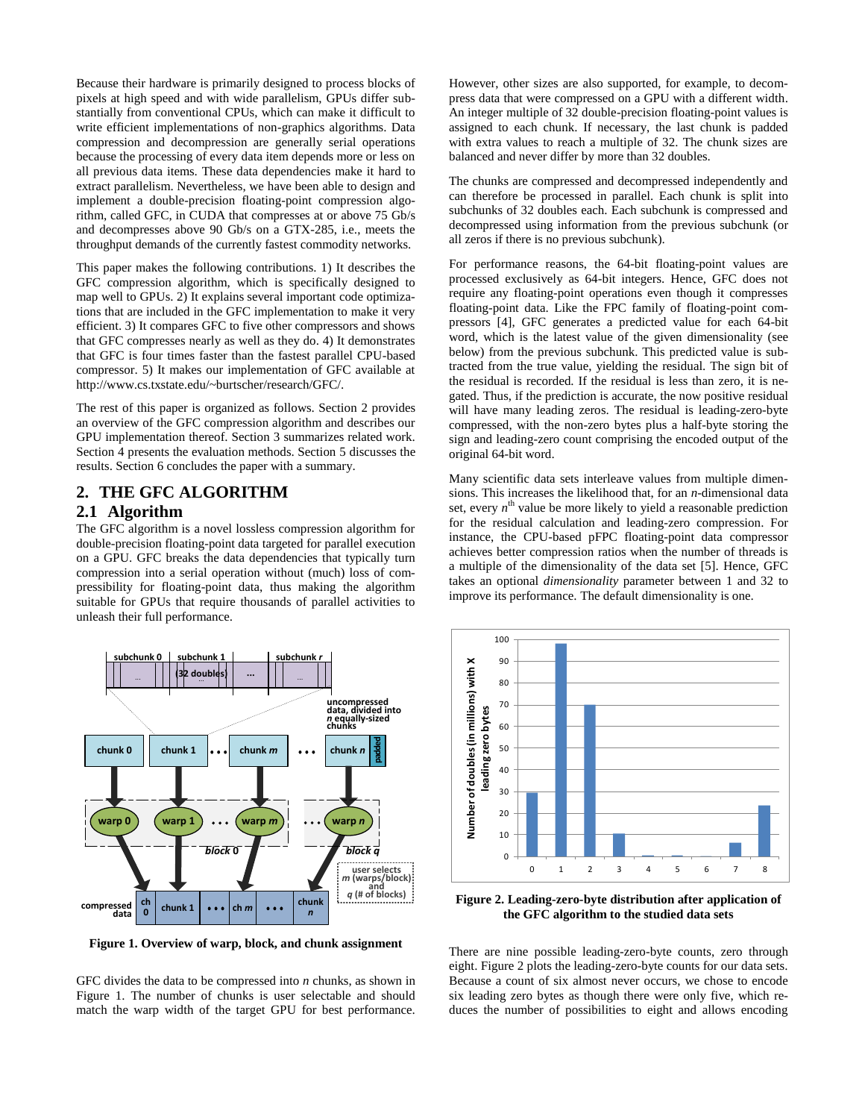Because their hardware is primarily designed to process blocks of pixels at high speed and with wide parallelism, GPUs differ substantially from conventional CPUs, which can make it difficult to write efficient implementations of non-graphics algorithms. Data compression and decompression are generally serial operations because the processing of every data item depends more or less on all previous data items. These data dependencies make it hard to extract parallelism. Nevertheless, we have been able to design and implement a double-precision floating-point compression algorithm, called GFC, in CUDA that compresses at or above 75 Gb/s and decompresses above 90 Gb/s on a GTX-285, i.e., meets the throughput demands of the currently fastest commodity networks.

This paper makes the following contributions. 1) It describes the GFC compression algorithm, which is specifically designed to map well to GPUs. 2) It explains several important code optimizations that are included in the GFC implementation to make it very efficient. 3) It compares GFC to five other compressors and shows that GFC compresses nearly as well as they do. 4) It demonstrates that GFC is four times faster than the fastest parallel CPU-based compressor. 5) It makes our implementation of GFC available at http://www.cs.txstate.edu/~burtscher/research/GFC/.

The rest of this paper is organized as follows. Section [2](#page-1-0) provides an overview of the GFC compression algorithm and describes our GPU implementation thereof. Sectio[n 3](#page-3-0) summarizes related work. Sectio[n 4](#page-3-1) presents the evaluation methods. Section [5](#page-4-0) discusses the results. Section [6](#page-5-0) concludes the paper with a summary.

## <span id="page-1-0"></span>**2. THE GFC ALGORITHM**

### **2.1 Algorithm**

The GFC algorithm is a novel lossless compression algorithm for double-precision floating-point data targeted for parallel execution on a GPU. GFC breaks the data dependencies that typically turn compression into a serial operation without (much) loss of compressibility for floating-point data, thus making the algorithm suitable for GPUs that require thousands of parallel activities to unleash their full performance.



<span id="page-1-1"></span>**Figure 1. Overview of warp, block, and chunk assignment**

GFC divides the data to be compressed into *n* chunks, as shown in [Figure 1.](#page-1-1) The number of chunks is user selectable and should match the warp width of the target GPU for best performance. However, other sizes are also supported, for example, to decompress data that were compressed on a GPU with a different width. An integer multiple of 32 double-precision floating-point values is assigned to each chunk. If necessary, the last chunk is padded with extra values to reach a multiple of 32. The chunk sizes are balanced and never differ by more than 32 doubles.

The chunks are compressed and decompressed independently and can therefore be processed in parallel. Each chunk is split into subchunks of 32 doubles each. Each subchunk is compressed and decompressed using information from the previous subchunk (or all zeros if there is no previous subchunk).

For performance reasons, the 64-bit floating-point values are processed exclusively as 64-bit integers. Hence, GFC does not require any floating-point operations even though it compresses floating-point data. Like the FPC family of floating-point compressors [\[4\],](#page-6-6) GFC generates a predicted value for each 64-bit word, which is the latest value of the given dimensionality (see below) from the previous subchunk. This predicted value is subtracted from the true value, yielding the residual. The sign bit of the residual is recorded. If the residual is less than zero, it is negated. Thus, if the prediction is accurate, the now positive residual will have many leading zeros. The residual is leading-zero-byte compressed, with the non-zero bytes plus a half-byte storing the sign and leading-zero count comprising the encoded output of the original 64-bit word.

Many scientific data sets interleave values from multiple dimensions. This increases the likelihood that, for an *n*-dimensional data set, every  $n<sup>th</sup>$  value be more likely to yield a reasonable prediction for the residual calculation and leading-zero compression. For instance, the CPU-based pFPC floating-point data compressor achieves better compression ratios when the number of threads is a multiple of the dimensionality of the data set [\[5\].](#page-6-7) Hence, GFC takes an optional *dimensionality* parameter between 1 and 32 to improve its performance. The default dimensionality is one.



<span id="page-1-2"></span>**Figure 2. Leading-zero-byte distribution after application of the GFC algorithm to the studied data sets**

There are nine possible leading-zero-byte counts, zero through eight[. Figure 2](#page-1-2) plots the leading-zero-byte counts for our data sets. Because a count of six almost never occurs, we chose to encode six leading zero bytes as though there were only five, which reduces the number of possibilities to eight and allows encoding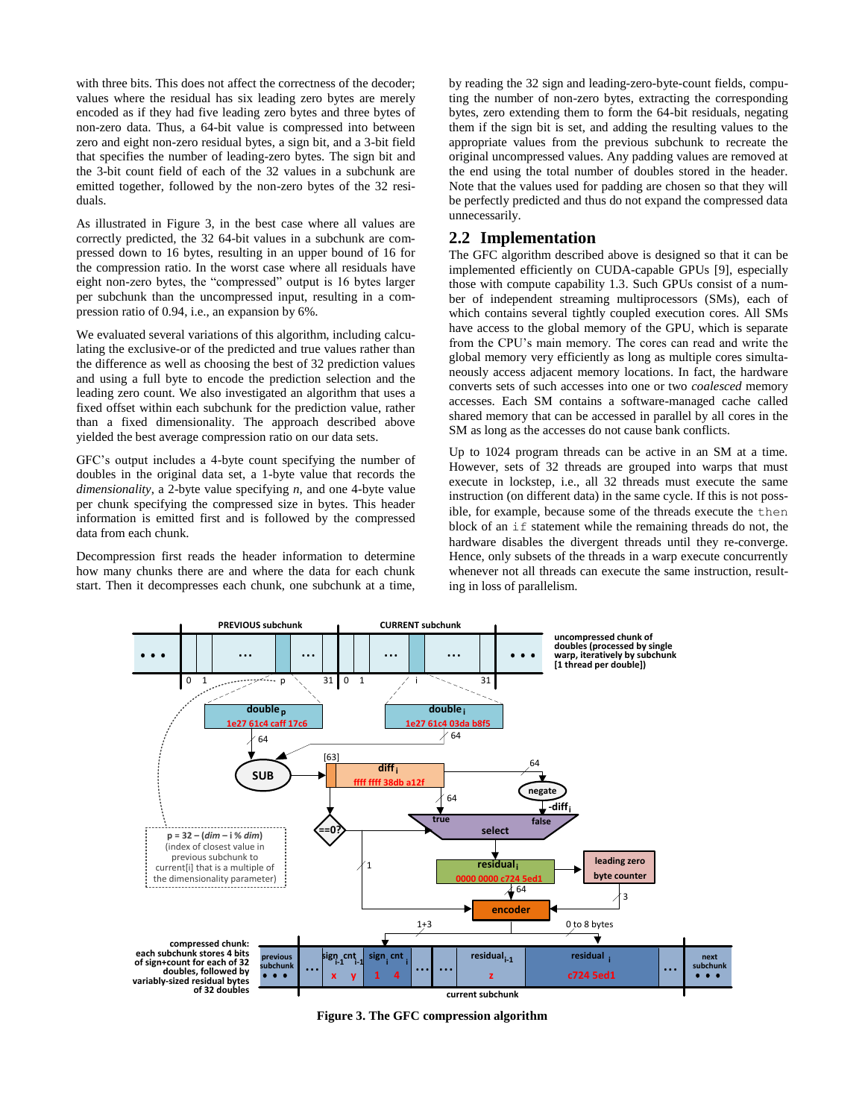with three bits. This does not affect the correctness of the decoder: values where the residual has six leading zero bytes are merely encoded as if they had five leading zero bytes and three bytes of non-zero data. Thus, a 64-bit value is compressed into between zero and eight non-zero residual bytes, a sign bit, and a 3-bit field that specifies the number of leading-zero bytes. The sign bit and the 3-bit count field of each of the 32 values in a subchunk are emitted together, followed by the non-zero bytes of the 32 residuals.

As illustrated in [Figure 3,](#page-2-0) in the best case where all values are correctly predicted, the 32 64-bit values in a subchunk are compressed down to 16 bytes, resulting in an upper bound of 16 for the compression ratio. In the worst case where all residuals have eight non-zero bytes, the "compressed" output is 16 bytes larger per subchunk than the uncompressed input, resulting in a compression ratio of 0.94, i.e., an expansion by 6%.

We evaluated several variations of this algorithm, including calculating the exclusive-or of the predicted and true values rather than the difference as well as choosing the best of 32 prediction values and using a full byte to encode the prediction selection and the leading zero count. We also investigated an algorithm that uses a fixed offset within each subchunk for the prediction value, rather than a fixed dimensionality. The approach described above yielded the best average compression ratio on our data sets.

GFC's output includes a 4-byte count specifying the number of doubles in the original data set, a 1-byte value that records the *dimensionality*, a 2-byte value specifying *n*, and one 4-byte value per chunk specifying the compressed size in bytes. This header information is emitted first and is followed by the compressed data from each chunk.

Decompression first reads the header information to determine how many chunks there are and where the data for each chunk start. Then it decompresses each chunk, one subchunk at a time, by reading the 32 sign and leading-zero-byte-count fields, computing the number of non-zero bytes, extracting the corresponding bytes, zero extending them to form the 64-bit residuals, negating them if the sign bit is set, and adding the resulting values to the appropriate values from the previous subchunk to recreate the original uncompressed values. Any padding values are removed at the end using the total number of doubles stored in the header. Note that the values used for padding are chosen so that they will be perfectly predicted and thus do not expand the compressed data unnecessarily.

### **2.2 Implementation**

The GFC algorithm described above is designed so that it can be implemented efficiently on CUDA-capable GPUs [\[9\],](#page-6-8) especially those with compute capability 1.3. Such GPUs consist of a number of independent streaming multiprocessors (SMs), each of which contains several tightly coupled execution cores. All SMs have access to the global memory of the GPU, which is separate from the CPU's main memory. The cores can read and write the global memory very efficiently as long as multiple cores simultaneously access adjacent memory locations. In fact, the hardware converts sets of such accesses into one or two *coalesced* memory accesses. Each SM contains a software-managed cache called shared memory that can be accessed in parallel by all cores in the SM as long as the accesses do not cause bank conflicts.

Up to 1024 program threads can be active in an SM at a time. However, sets of 32 threads are grouped into warps that must execute in lockstep, i.e., all 32 threads must execute the same instruction (on different data) in the same cycle. If this is not possible, for example, because some of the threads execute the then block of an if statement while the remaining threads do not, the hardware disables the divergent threads until they re-converge. Hence, only subsets of the threads in a warp execute concurrently whenever not all threads can execute the same instruction, resulting in loss of parallelism.



<span id="page-2-0"></span>**Figure 3. The GFC compression algorithm**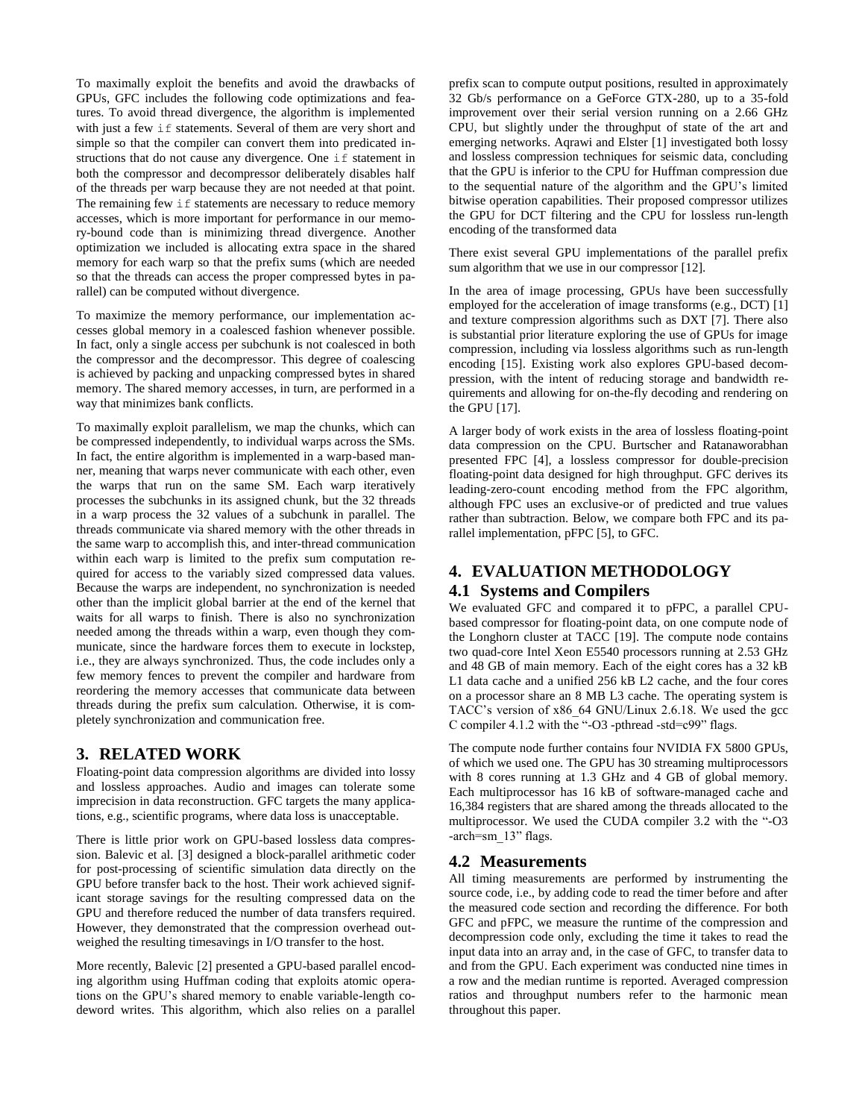To maximally exploit the benefits and avoid the drawbacks of GPUs, GFC includes the following code optimizations and features. To avoid thread divergence, the algorithm is implemented with just a few if statements. Several of them are very short and simple so that the compiler can convert them into predicated instructions that do not cause any divergence. One if statement in both the compressor and decompressor deliberately disables half of the threads per warp because they are not needed at that point. The remaining few if statements are necessary to reduce memory accesses, which is more important for performance in our memory-bound code than is minimizing thread divergence. Another optimization we included is allocating extra space in the shared memory for each warp so that the prefix sums (which are needed so that the threads can access the proper compressed bytes in parallel) can be computed without divergence.

To maximize the memory performance, our implementation accesses global memory in a coalesced fashion whenever possible. In fact, only a single access per subchunk is not coalesced in both the compressor and the decompressor. This degree of coalescing is achieved by packing and unpacking compressed bytes in shared memory. The shared memory accesses, in turn, are performed in a way that minimizes bank conflicts.

To maximally exploit parallelism, we map the chunks, which can be compressed independently, to individual warps across the SMs. In fact, the entire algorithm is implemented in a warp-based manner, meaning that warps never communicate with each other, even the warps that run on the same SM. Each warp iteratively processes the subchunks in its assigned chunk, but the 32 threads in a warp process the 32 values of a subchunk in parallel. The threads communicate via shared memory with the other threads in the same warp to accomplish this, and inter-thread communication within each warp is limited to the prefix sum computation required for access to the variably sized compressed data values. Because the warps are independent, no synchronization is needed other than the implicit global barrier at the end of the kernel that waits for all warps to finish. There is also no synchronization needed among the threads within a warp, even though they communicate, since the hardware forces them to execute in lockstep, i.e., they are always synchronized. Thus, the code includes only a few memory fences to prevent the compiler and hardware from reordering the memory accesses that communicate data between threads during the prefix sum calculation. Otherwise, it is completely synchronization and communication free.

### <span id="page-3-0"></span>**3. RELATED WORK**

Floating-point data compression algorithms are divided into lossy and lossless approaches. Audio and images can tolerate some imprecision in data reconstruction. GFC targets the many applications, e.g., scientific programs, where data loss is unacceptable.

There is little prior work on GPU-based lossless data compression. Balevic et al. [\[3\]](#page-5-1) designed a block-parallel arithmetic coder for post-processing of scientific simulation data directly on the GPU before transfer back to the host. Their work achieved significant storage savings for the resulting compressed data on the GPU and therefore reduced the number of data transfers required. However, they demonstrated that the compression overhead outweighed the resulting timesavings in I/O transfer to the host.

More recently, Balevic [\[2\]](#page-5-2) presented a GPU-based parallel encoding algorithm using Huffman coding that exploits atomic operations on the GPU's shared memory to enable variable-length codeword writes. This algorithm, which also relies on a parallel prefix scan to compute output positions, resulted in approximately 32 Gb/s performance on a GeForce GTX-280, up to a 35-fold improvement over their serial version running on a 2.66 GHz CPU, but slightly under the throughput of state of the art and emerging networks. Aqrawi and Elster [\[1\]](#page-5-3) investigated both lossy and lossless compression techniques for seismic data, concluding that the GPU is inferior to the CPU for Huffman compression due to the sequential nature of the algorithm and the GPU's limited bitwise operation capabilities. Their proposed compressor utilizes the GPU for DCT filtering and the CPU for lossless run-length encoding of the transformed data

There exist several GPU implementations of the parallel prefix sum algorithm that we use in our compressor [\[12\].](#page-6-9)

In the area of image processing, GPUs have been successfully employed for the acceleration of image transforms (e.g., DCT) [\[1\]](#page-5-3) and texture compression algorithms such as DXT [\[7\].](#page-6-10) There also is substantial prior literature exploring the use of GPUs for image compression, including via lossless algorithms such as run-length encoding [\[15\].](#page-6-11) Existing work also explores GPU-based decompression, with the intent of reducing storage and bandwidth requirements and allowing for on-the-fly decoding and rendering on the GP[U \[17\].](#page-6-12)

A larger body of work exists in the area of lossless floating-point data compression on the CPU. Burtscher and Ratanaworabhan presented FPC [\[4\],](#page-6-6) a lossless compressor for double-precision floating-point data designed for high throughput. GFC derives its leading-zero-count encoding method from the FPC algorithm, although FPC uses an exclusive-or of predicted and true values rather than subtraction. Below, we compare both FPC and its parallel implementation, pFPC [\[5\],](#page-6-7) to GFC.

## <span id="page-3-1"></span>**4. EVALUATION METHODOLOGY**

### **4.1 Systems and Compilers**

We evaluated GFC and compared it to pFPC, a parallel CPUbased compressor for floating-point data, on one compute node of the Longhorn cluster at TACC [\[19\].](#page-6-0) The compute node contains two quad-core Intel Xeon E5540 processors running at 2.53 GHz and 48 GB of main memory. Each of the eight cores has a 32 kB L1 data cache and a unified 256 kB L2 cache, and the four cores on a processor share an 8 MB L3 cache. The operating system is TACC's version of x86\_64 GNU/Linux 2.6.18. We used the gcc C compiler 4.1.2 with the "-O3 -pthread -std=c99" flags.

The compute node further contains four NVIDIA FX 5800 GPUs, of which we used one. The GPU has 30 streaming multiprocessors with 8 cores running at 1.3 GHz and 4 GB of global memory. Each multiprocessor has 16 kB of software-managed cache and 16,384 registers that are shared among the threads allocated to the multiprocessor. We used the CUDA compiler 3.2 with the "-O3 -arch=sm\_13" flags.

### **4.2 Measurements**

All timing measurements are performed by instrumenting the source code, i.e., by adding code to read the timer before and after the measured code section and recording the difference. For both GFC and pFPC, we measure the runtime of the compression and decompression code only, excluding the time it takes to read the input data into an array and, in the case of GFC, to transfer data to and from the GPU. Each experiment was conducted nine times in a row and the median runtime is reported. Averaged compression ratios and throughput numbers refer to the harmonic mean throughout this paper.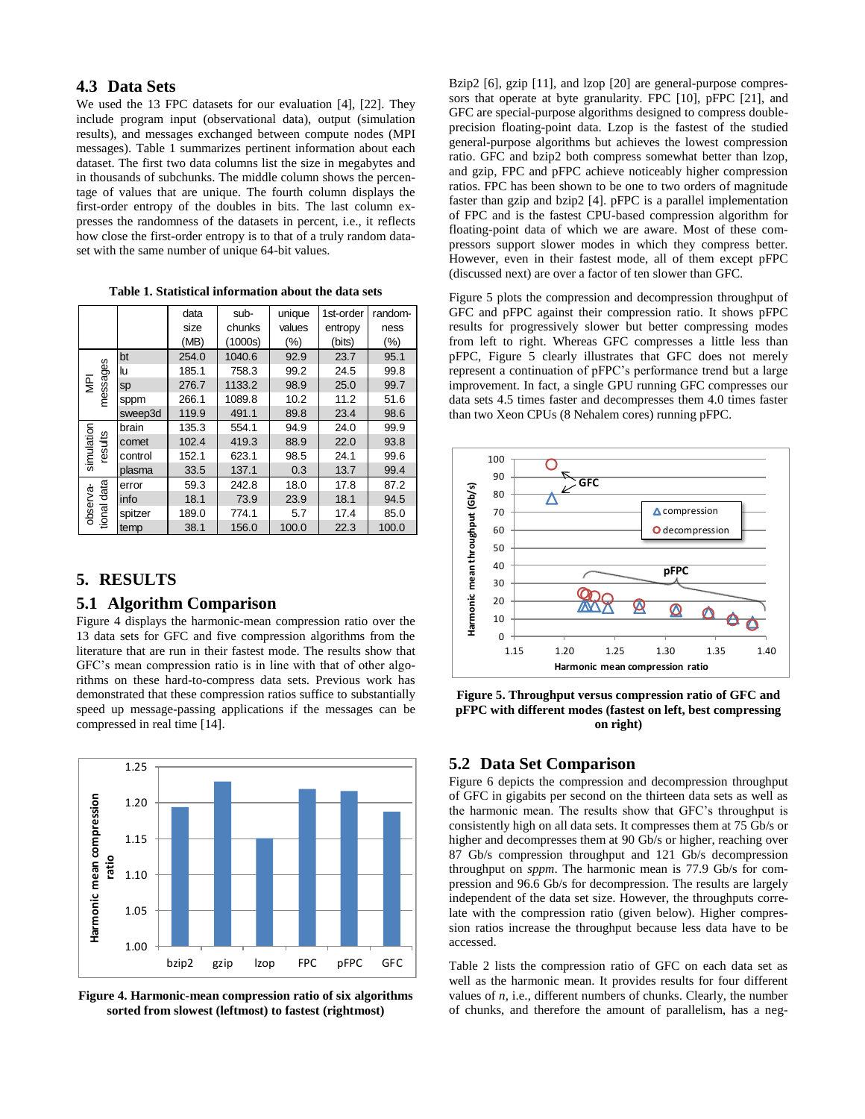### **4.3 Data Sets**

We used the 13 FPC datasets for our evaluation [\[4\],](#page-6-6) [\[22\].](#page-6-13) They include program input (observational data), output (simulation results), and messages exchanged between compute nodes (MPI messages). [Table 1](#page-4-1) summarizes pertinent information about each dataset. The first two data columns list the size in megabytes and in thousands of subchunks. The middle column shows the percentage of values that are unique. The fourth column displays the first-order entropy of the doubles in bits. The last column expresses the randomness of the datasets in percent, i.e., it reflects how close the first-order entropy is to that of a truly random dataset with the same number of unique 64-bit values.

<span id="page-4-1"></span>

|                            |         | data  | sub-    | unique | 1st-order | random- |
|----------------------------|---------|-------|---------|--------|-----------|---------|
|                            |         | size  | chunks  | values | entropy   | ness    |
|                            |         | (MB)  | (1000s) | (%)    | (bits)    | (%)     |
| messages<br>$\overline{P}$ | bt      | 254.0 | 1040.6  | 92.9   | 23.7      | 95.1    |
|                            | lu      | 185.1 | 758.3   | 99.2   | 24.5      | 99.8    |
|                            | sp      | 276.7 | 1133.2  | 98.9   | 25.0      | 99.7    |
|                            | sppm    | 266.1 | 1089.8  | 10.2   | 11.2      | 51.6    |
|                            | sweep3d | 119.9 | 491.1   | 89.8   | 23.4      | 98.6    |
| simulation<br>results      | brain   | 135.3 | 554.1   | 94.9   | 24.0      | 99.9    |
|                            | comet   | 102.4 | 419.3   | 88.9   | 22.0      | 93.8    |
|                            | control | 152.1 | 623.1   | 98.5   | 24.1      | 99.6    |
|                            | plasma  | 33.5  | 137.1   | 0.3    | 13.7      | 99.4    |
| data<br>observa-<br>tional | error   | 59.3  | 242.8   | 18.0   | 17.8      | 87.2    |
|                            | info    | 18.1  | 73.9    | 23.9   | 18.1      | 94.5    |
|                            | spitzer | 189.0 | 774.1   | 5.7    | 17.4      | 85.0    |
|                            | temp    | 38.1  | 156.0   | 100.0  | 22.3      | 100.0   |

**Table 1. Statistical information about the data sets**

## <span id="page-4-0"></span>**5. RESULTS**

### **5.1 Algorithm Comparison**

[Figure 4](#page-4-2) displays the harmonic-mean compression ratio over the 13 data sets for GFC and five compression algorithms from the literature that are run in their fastest mode. The results show that GFC's mean compression ratio is in line with that of other algorithms on these hard-to-compress data sets. Previous work has demonstrated that these compression ratios suffice to substantially speed up message-passing applications if the messages can be compressed in real time [\[14\].](#page-6-14)



<span id="page-4-2"></span>**Figure 4. Harmonic-mean compression ratio of six algorithms sorted from slowest (leftmost) to fastest (rightmost)**

Bzip2 [\[6\],](#page-6-15) gzip [\[11\],](#page-6-16) and lzop [\[20\]](#page-6-17) are general-purpose compressors that operate at byte granularity. FPC [\[10\],](#page-6-18) pFPC [\[21\],](#page-6-19) and GFC are special-purpose algorithms designed to compress doubleprecision floating-point data. Lzop is the fastest of the studied general-purpose algorithms but achieves the lowest compression ratio. GFC and bzip2 both compress somewhat better than lzop, and gzip, FPC and pFPC achieve noticeably higher compression ratios. FPC has been shown to be one to two orders of magnitude faster than gzip and bzip2 [\[4\].](#page-6-6) pFPC is a parallel implementation of FPC and is the fastest CPU-based compression algorithm for floating-point data of which we are aware. Most of these compressors support slower modes in which they compress better. However, even in their fastest mode, all of them except pFPC (discussed next) are over a factor of ten slower than GFC.

[Figure 5](#page-4-3) plots the compression and decompression throughput of GFC and pFPC against their compression ratio. It shows pFPC results for progressively slower but better compressing modes from left to right. Whereas GFC compresses a little less than pFPC, [Figure 5](#page-4-3) clearly illustrates that GFC does not merely represent a continuation of pFPC's performance trend but a large improvement. In fact, a single GPU running GFC compresses our data sets 4.5 times faster and decompresses them 4.0 times faster than two Xeon CPUs (8 Nehalem cores) running pFPC.



<span id="page-4-3"></span>**Figure 5. Throughput versus compression ratio of GFC and pFPC with different modes (fastest on left, best compressing on right)**

### **5.2 Data Set Comparison**

[Figure 6](#page-5-4) depicts the compression and decompression throughput of GFC in gigabits per second on the thirteen data sets as well as the harmonic mean. The results show that GFC's throughput is consistently high on all data sets. It compresses them at 75 Gb/s or higher and decompresses them at 90 Gb/s or higher, reaching over 87 Gb/s compression throughput and 121 Gb/s decompression throughput on *sppm*. The harmonic mean is 77.9 Gb/s for compression and 96.6 Gb/s for decompression. The results are largely independent of the data set size. However, the throughputs correlate with the compression ratio (given below). Higher compression ratios increase the throughput because less data have to be accessed.

[Table 2](#page-5-5) lists the compression ratio of GFC on each data set as well as the harmonic mean. It provides results for four different values of *n*, i.e., different numbers of chunks. Clearly, the number of chunks, and therefore the amount of parallelism, has a neg-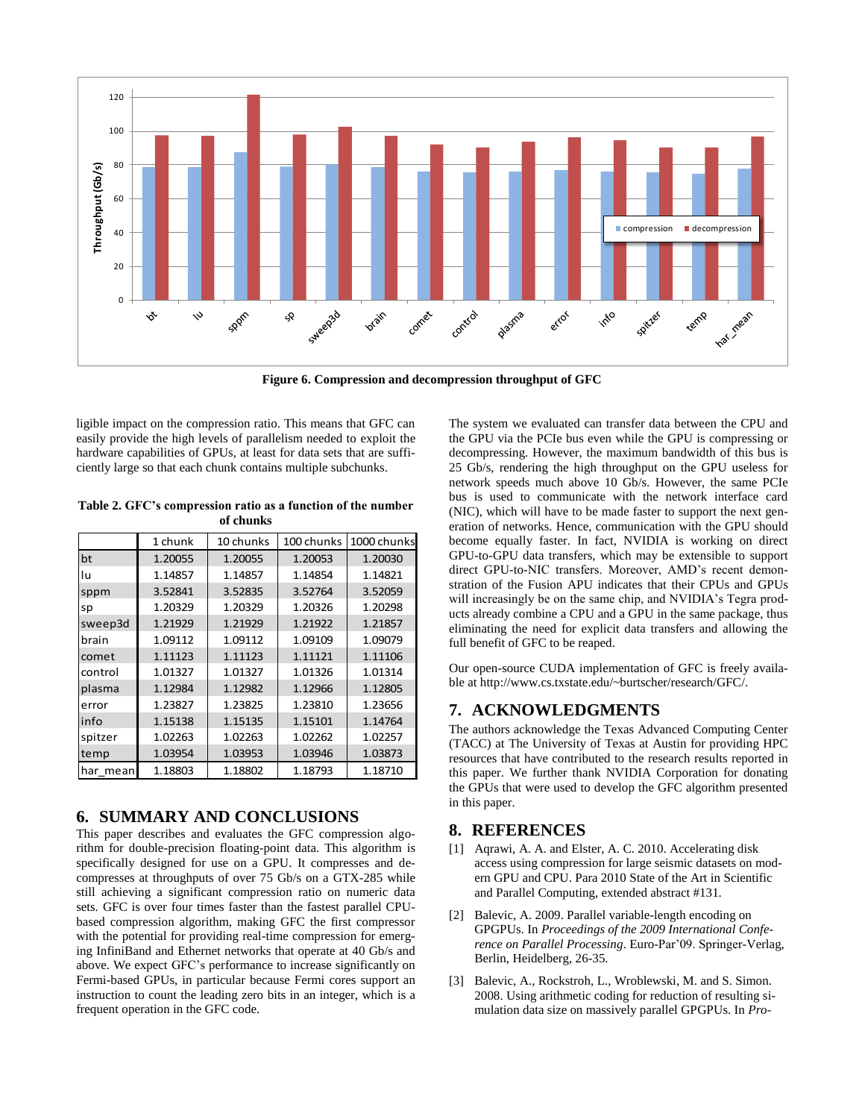

**Figure 6. Compression and decompression throughput of GFC**

<span id="page-5-4"></span>ligible impact on the compression ratio. This means that GFC can easily provide the high levels of parallelism needed to exploit the hardware capabilities of GPUs, at least for data sets that are sufficiently large so that each chunk contains multiple subchunks.

<span id="page-5-5"></span>**Table 2. GFC's compression ratio as a function of the number of chunks**

|          | 1 chunk | 10 chunks | 100 chunks | 1000 chunks |
|----------|---------|-----------|------------|-------------|
| bt       | 1.20055 | 1.20055   | 1.20053    | 1.20030     |
| Ιu       | 1.14857 | 1.14857   | 1.14854    | 1.14821     |
| sppm     | 3.52841 | 3.52835   | 3.52764    | 3.52059     |
| sp       | 1.20329 | 1.20329   | 1.20326    | 1.20298     |
| sweep3d  | 1.21929 | 1.21929   | 1.21922    | 1.21857     |
| brain    | 1.09112 | 1.09112   | 1.09109    | 1.09079     |
| comet    | 1.11123 | 1.11123   | 1.11121    | 1.11106     |
| control  | 1.01327 | 1.01327   | 1.01326    | 1.01314     |
| plasma   | 1.12984 | 1.12982   | 1.12966    | 1.12805     |
| error    | 1.23827 | 1.23825   | 1.23810    | 1.23656     |
| info     | 1.15138 | 1.15135   | 1.15101    | 1.14764     |
| spitzer  | 1.02263 | 1.02263   | 1.02262    | 1.02257     |
| temp     | 1.03954 | 1.03953   | 1.03946    | 1.03873     |
| har mean | 1.18803 | 1.18802   | 1.18793    | 1.18710     |

## <span id="page-5-0"></span>**6. SUMMARY AND CONCLUSIONS**

This paper describes and evaluates the GFC compression algorithm for double-precision floating-point data. This algorithm is specifically designed for use on a GPU. It compresses and decompresses at throughputs of over 75 Gb/s on a GTX-285 while still achieving a significant compression ratio on numeric data sets. GFC is over four times faster than the fastest parallel CPUbased compression algorithm, making GFC the first compressor with the potential for providing real-time compression for emerging InfiniBand and Ethernet networks that operate at 40 Gb/s and above. We expect GFC's performance to increase significantly on Fermi-based GPUs, in particular because Fermi cores support an instruction to count the leading zero bits in an integer, which is a frequent operation in the GFC code.

The system we evaluated can transfer data between the CPU and the GPU via the PCIe bus even while the GPU is compressing or decompressing. However, the maximum bandwidth of this bus is 25 Gb/s, rendering the high throughput on the GPU useless for network speeds much above 10 Gb/s. However, the same PCIe bus is used to communicate with the network interface card (NIC), which will have to be made faster to support the next generation of networks. Hence, communication with the GPU should become equally faster. In fact, NVIDIA is working on direct GPU-to-GPU data transfers, which may be extensible to support direct GPU-to-NIC transfers. Moreover, AMD's recent demonstration of the Fusion APU indicates that their CPUs and GPUs will increasingly be on the same chip, and NVIDIA's Tegra products already combine a CPU and a GPU in the same package, thus eliminating the need for explicit data transfers and allowing the full benefit of GFC to be reaped.

Our open-source CUDA implementation of GFC is freely available at http://www.cs.txstate.edu/~burtscher/research/GFC/.

## **7. ACKNOWLEDGMENTS**

The authors acknowledge the Texas Advanced Computing Center (TACC) at The University of Texas at Austin for providing HPC resources that have contributed to the research results reported in this paper. We further thank NVIDIA Corporation for donating the GPUs that were used to develop the GFC algorithm presented in this paper.

## **8. REFERENCES**

- <span id="page-5-3"></span>[1] Aqrawi, A. A. and Elster, A. C. 2010. Accelerating disk access using compression for large seismic datasets on modern GPU and CPU. Para 2010 State of the Art in Scientific and Parallel Computing, extended abstract #131.
- <span id="page-5-2"></span>[2] Balevic, A. 2009. Parallel variable-length encoding on GPGPUs. In *Proceedings of the 2009 International Conference on Parallel Processing*. Euro-Par'09. Springer-Verlag, Berlin, Heidelberg, 26-35.
- <span id="page-5-1"></span>[3] Balevic, A., Rockstroh, L., Wroblewski, M. and S. Simon. 2008. Using arithmetic coding for reduction of resulting simulation data size on massively parallel GPGPUs. In *Pro-*